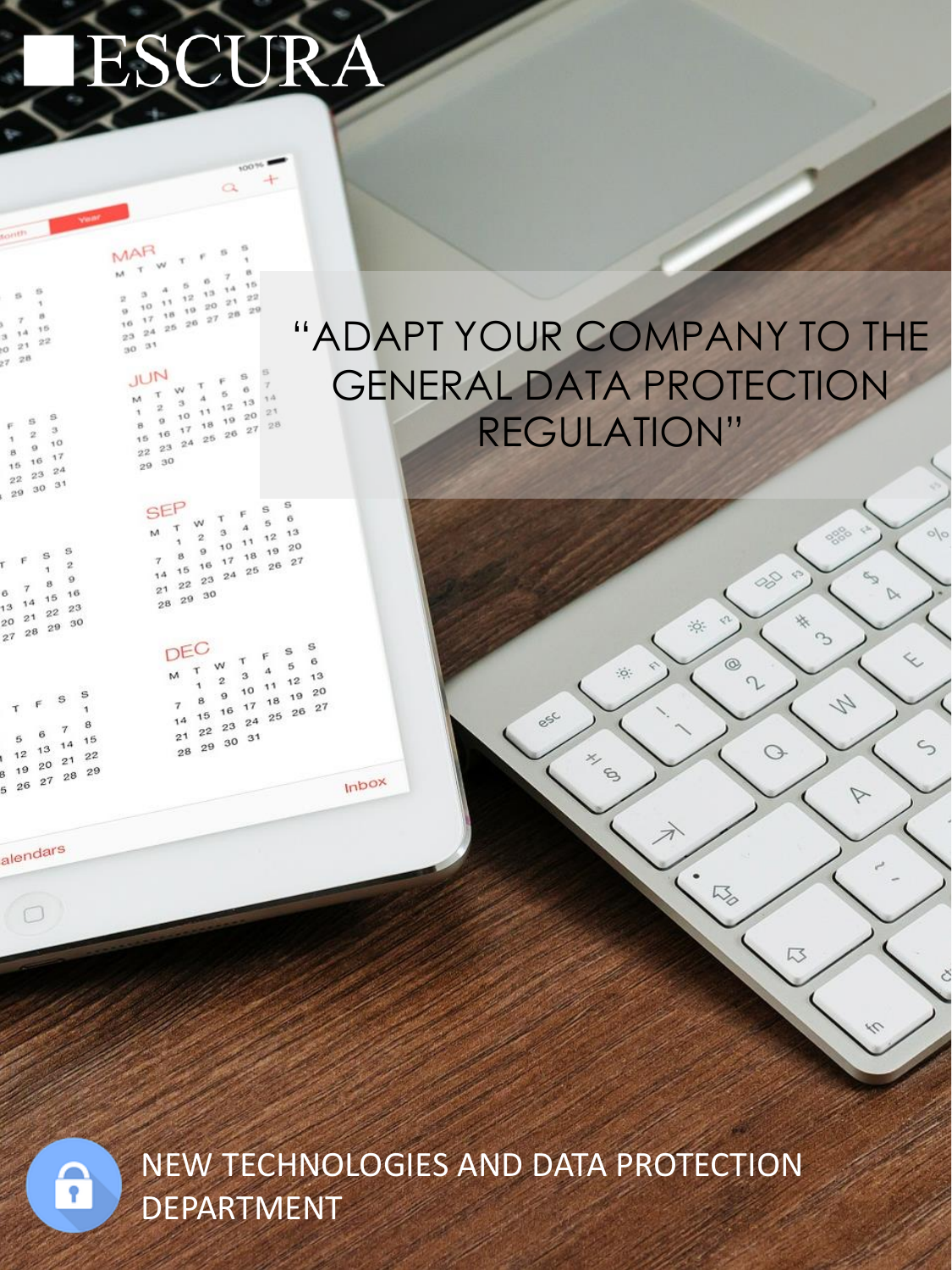# ESCURA

 $A$  $\begin{array}{c} 3 \\ 0 \end{array}$  $\frac{1}{2}1$  $22$  $28$ 

 $\cdot$ s  $\alpha$  $-2$  $\alpha$  $\overline{1}$  $10^{-1}$  $^{\rm o}$  $_{\rm B}$  $16 - 17$ 15  $23 \t24$  $\sqrt{2}$  $30^{31}$  $_{29}$ 

s  $\overline{a}$  $\ddot{a}$ é 15 16  $14$  $21 \t22 \t23$  $13$  $29^{30}$  $20^{12}$  $28$  $27$ 

MAR  $\mathbf{r}$  $14$  $13$  $20^{21}$  $22$  $42.5$  $11$  $27\quad 28\quad 29$  $10^{-1}$  $10 - 10$  $\alpha$  $18$  $\overline{17}$  $-20$  $\sim$  $2<sub>0</sub>$  $2<sub>4</sub>$  $\frac{1}{2}$  $33$ ್ಷ

> JUN  $\ddot{\circ}$  $\tau$  $12^{13}$  $\mathbf{M}$  $\boldsymbol{A}$  $\overline{\phantom{a}}$  $\overline{2}$  $+1$  $192021$ ¥.  $10^{-1}$  $16 \t17 \t18$  $22$   $23$   $24$   $25$   $26$   $27$  $30$  $29$

> > SEP s Ÿ  $\ddot{\mathbf{6}}$ **KN**  $\mathbf{s}$ Ŧ  $\overline{A}$  $10^{11^{12^{12}}}$ M  $\overline{2}$ 18 19 20  $_{9}$  $22$   $23$   $24$   $25$   $26$   $27$ 14  $2<sup>1</sup>$  $29^{30}$  $2<sup>8</sup>$

DEC  $\mathbf{S}$  $\ddot{\mathbf{6}}$  $\overline{6}$ W  $\Lambda$  $\overline{3}$  $1<sup>3</sup>$  $12$  $11$ 10  $20$  $\circ$ 19 18  $2^5$   $2^6$   $2^7$  $17$ 16  $15$  $23^{24}$ 14  $2<sup>2</sup>$  $21$  $31$ 30 29 28

Inbox

alendars

 $\circ$ 

ဂူ

NEW TECHNOLOGIES AND DATA PROTECTION **DEPARTMENT** 

### "ADAPT YOUR COMPANY TO THE **GENERAL DATA PROTECTION REGULATION"**

 $\ddot{\circ}$ 

×,

 $\epsilon$ 

050

0000

 $\sim$ 

4

 $\triangledown$ 

08

**冷** 

 $^{\circ}$ 

h30

 $\Omega$ 

 $\bigcirc$ 

13

 $\frac{1}{2}$ 

 $\varsigma$ 

 $\sqrt{ }$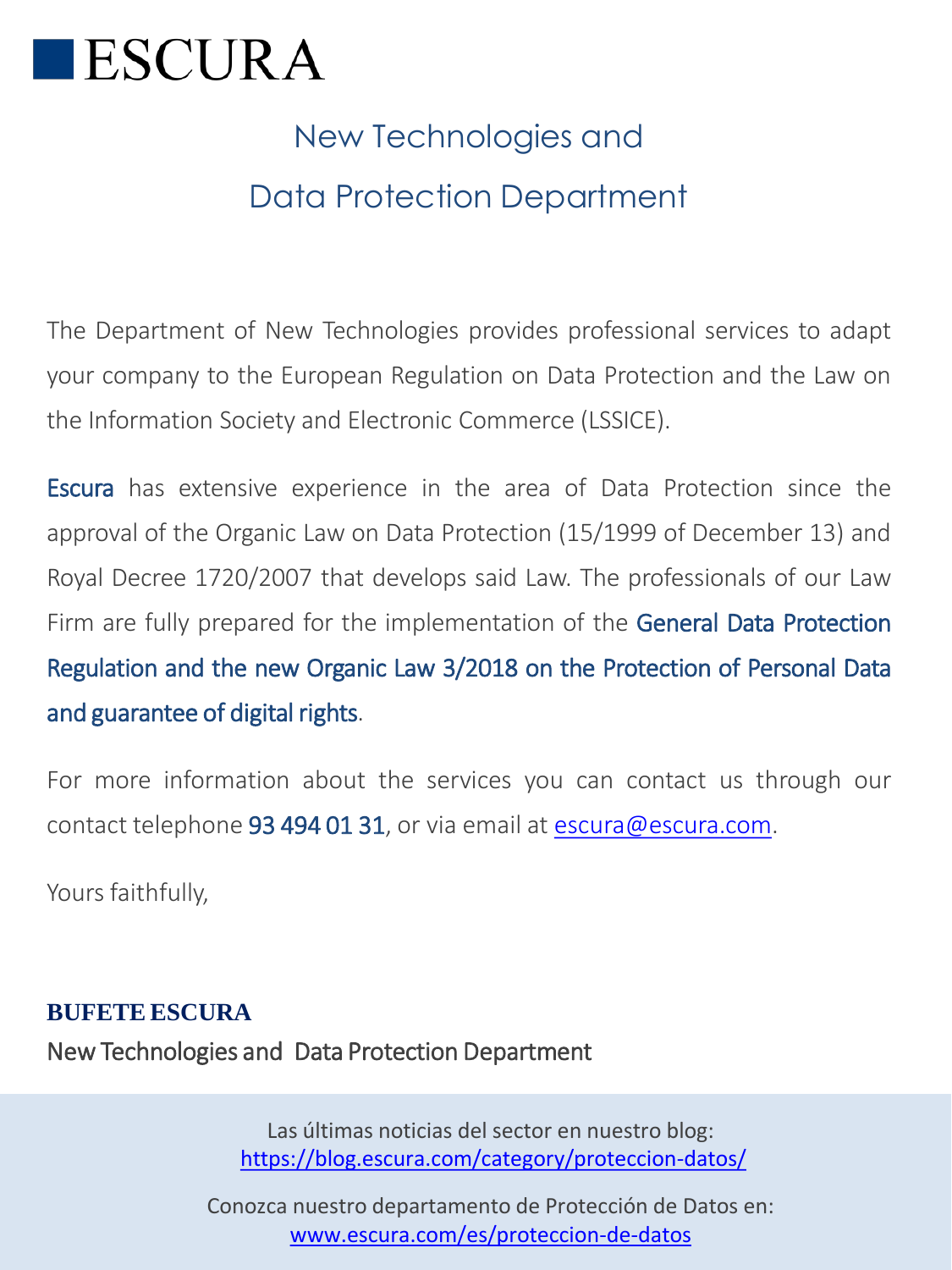

### New Technologies and Data Protection Department

The Department of New Technologies provides professional services to adapt your company to the European Regulation on Data Protection and the Law on the Information Society and Electronic Commerce (LSSICE).

Escura has extensive experience in the area of Data Protection since the approval of the Organic Law on Data Protection (15/1999 of December 13) and Royal Decree 1720/2007 that develops said Law. The professionals of our Law Firm are fully prepared for the implementation of the General Data Protection Regulation and the new Organic Law 3/2018 on the Protection of Personal Data and guarantee of digital rights.

For more information about the services you can contact us through our contact telephone 93 494 01 31, or via email at [escura@escura.com](mailto:escura@escura.com).

Yours faithfully,

#### **BUFETE ESCURA**

New Technologies and Data Protection Department

Las últimas noticias del sector en nuestro blog: <https://blog.escura.com/category/proteccion-datos/>

Conozca nuestro departamento de Protección de Datos en: [www.escura.com/es/proteccion-de-datos](http://www.escura.com/es/proteccion-de-datos)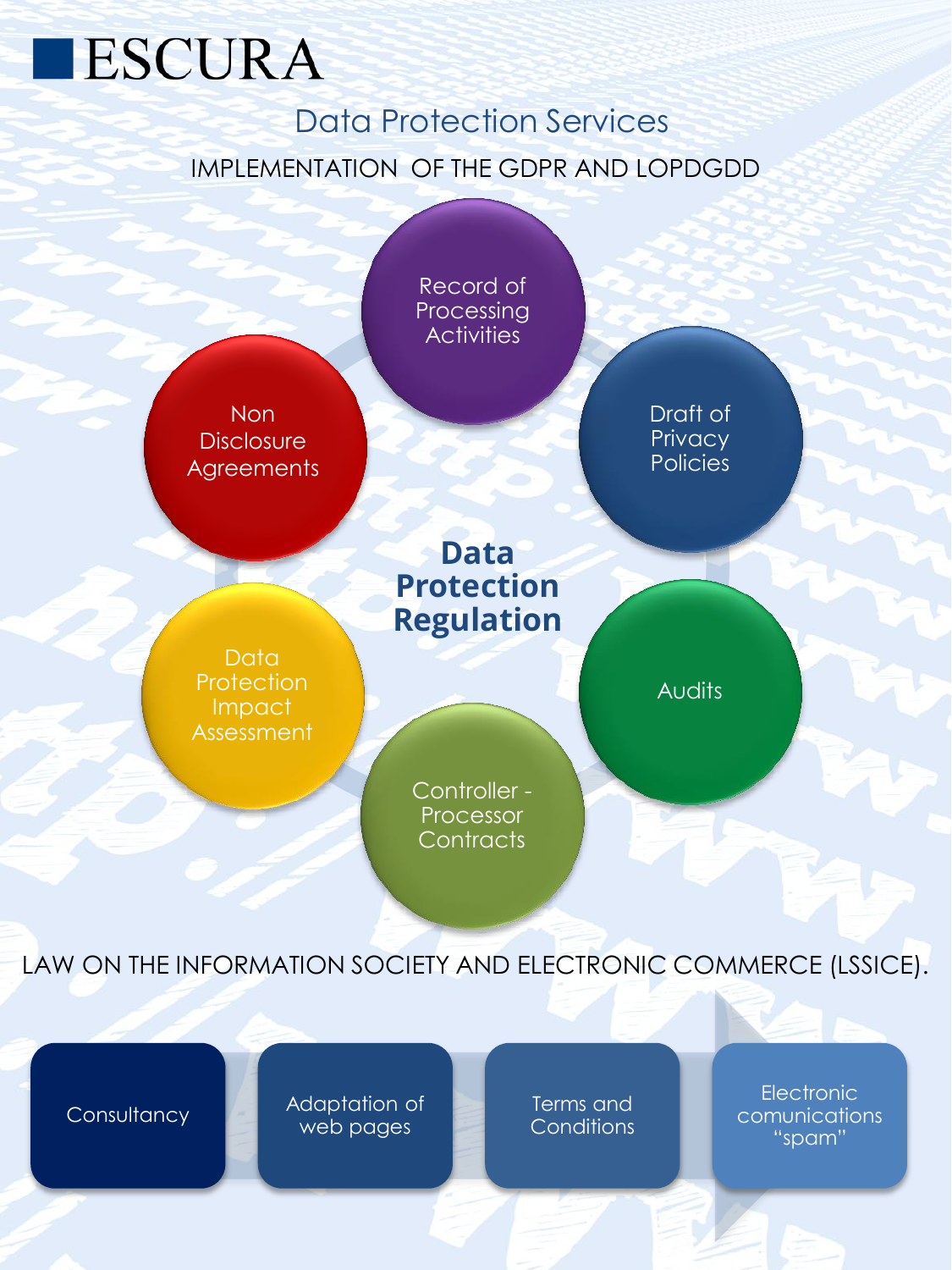## ESCURA

#### Data Protection Services IMPLEMENTATION OF THE GDPR AND LOPDGDD



LAW ON THE INFORMATION SOCIETY AND ELECTRONIC COMMERCE (LSSICE).

Consultancy **Adaptation of** web pages

Terms and **Conditions** 

**Electronic** comunications "spam"